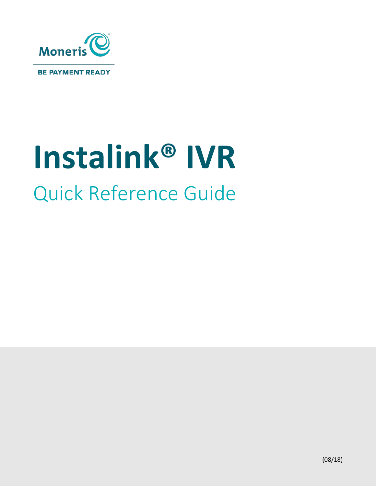

# **Instalink® IVR** Quick Reference Guide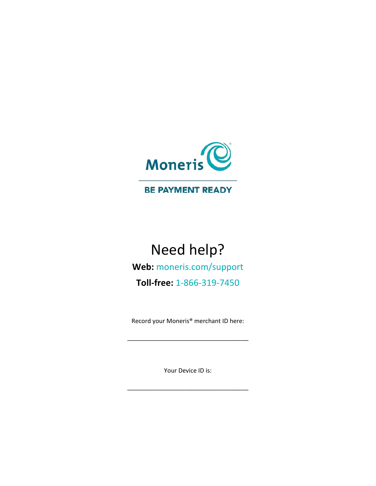

#### **BE PAYMENT READY**

# Need help?

**Web:** [moneris.com/support](https://www.moneris.com/support)

**Toll-free:** 1-866-319-7450

Record your Moneris® merchant ID here:

\_\_\_\_\_\_\_\_\_\_\_\_\_\_\_\_\_\_\_\_\_\_\_\_\_\_\_\_\_\_\_\_\_\_\_\_

Your Device ID is:

\_\_\_\_\_\_\_\_\_\_\_\_\_\_\_\_\_\_\_\_\_\_\_\_\_\_\_\_\_\_\_\_\_\_\_\_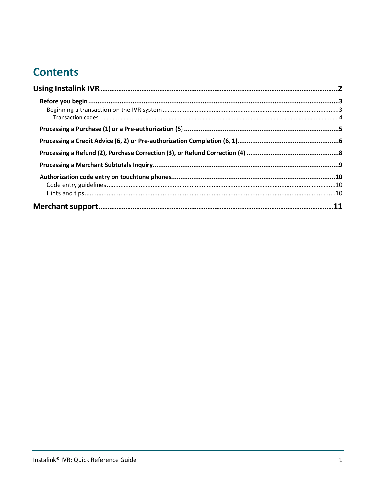# **Contents**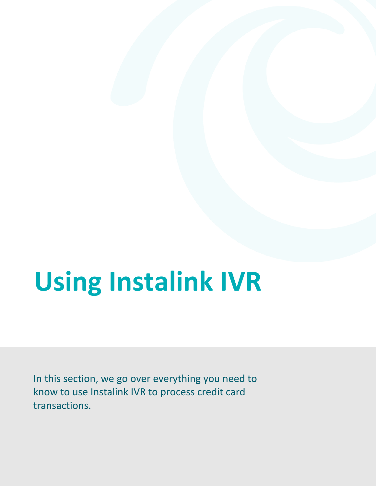# <span id="page-3-0"></span>**Using Instalink IVR**

In this section, we go over everything you need to know to use Instalink IVR to process credit card transactions.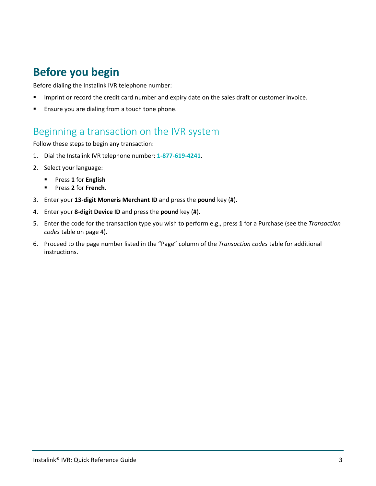## <span id="page-4-0"></span>**Before you begin**

Before dialing the Instalink IVR telephone number:

- Imprint or record the credit card number and expiry date on the sales draft or customer invoice.
- Ensure you are dialing from a touch tone phone.

#### <span id="page-4-1"></span>Beginning a transaction on the IVR system

Follow these steps to begin any transaction:

- 1. Dial the Instalink IVR telephone number: **1-877-619-4241**.
- 2. Select your language:
	- Press **1** for **English**
	- Press **2** for **French**.
- 3. Enter your **13-digit Moneris Merchant ID** and press the **pound** key (**#**).
- 4. Enter your **8-digit Device ID** and press the **pound** key (**#**).
- 5. Enter the code for the transaction type you wish to perform e.g., press **1** for a Purchase (see the *Transaction codes* table on page 4).
- 6. Proceed to the page number listed in the "Page" column of the *Transaction codes* table for additional instructions.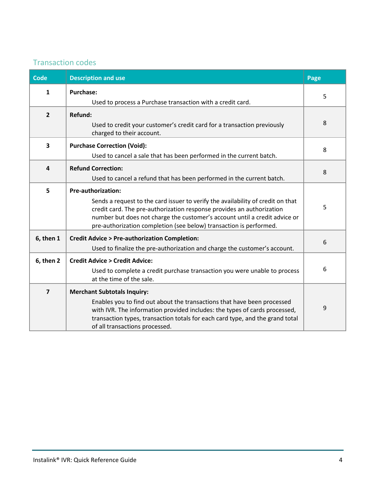#### <span id="page-5-0"></span>Transaction codes

| Code           | <b>Description and use</b>                                                                                                                                                                                                                                                                                                                | Page |
|----------------|-------------------------------------------------------------------------------------------------------------------------------------------------------------------------------------------------------------------------------------------------------------------------------------------------------------------------------------------|------|
| $\mathbf{1}$   | <b>Purchase:</b><br>Used to process a Purchase transaction with a credit card.                                                                                                                                                                                                                                                            | 5    |
| $\overline{2}$ | <b>Refund:</b><br>Used to credit your customer's credit card for a transaction previously<br>charged to their account.                                                                                                                                                                                                                    | 8    |
| 3              | <b>Purchase Correction (Void):</b><br>Used to cancel a sale that has been performed in the current batch.                                                                                                                                                                                                                                 | 8    |
| 4              | <b>Refund Correction:</b><br>Used to cancel a refund that has been performed in the current batch.                                                                                                                                                                                                                                        | 8    |
| 5              | <b>Pre-authorization:</b><br>Sends a request to the card issuer to verify the availability of credit on that<br>credit card. The pre-authorization response provides an authorization<br>number but does not charge the customer's account until a credit advice or<br>pre-authorization completion (see below) transaction is performed. | 5    |
| 6, then 1      | <b>Credit Advice &gt; Pre-authorization Completion:</b><br>Used to finalize the pre-authorization and charge the customer's account.                                                                                                                                                                                                      | 6    |
| 6, then 2      | <b>Credit Advice &gt; Credit Advice:</b><br>Used to complete a credit purchase transaction you were unable to process<br>at the time of the sale.                                                                                                                                                                                         | 6    |
| $\overline{7}$ | <b>Merchant Subtotals Inquiry:</b><br>Enables you to find out about the transactions that have been processed<br>with IVR. The information provided includes: the types of cards processed,<br>transaction types, transaction totals for each card type, and the grand total<br>of all transactions processed.                            | 9    |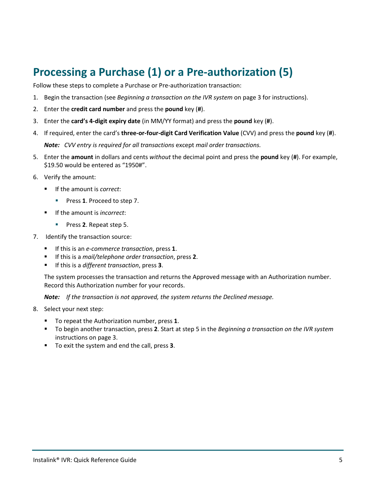# <span id="page-6-0"></span>**Processing a Purchase (1) or a Pre-authorization (5)**

Follow these steps to complete a Purchase or Pre-authorization transaction:

- 1. Begin the transaction (see *Beginning a transaction on the IVR system* on pag[e 3](#page-4-1) for instructions).
- 2. Enter the **credit card number** and press the **pound** key (**#**).
- 3. Enter the **card's 4-digit expiry date** (in MM/YY format) and press the **pound** key (**#**).
- 4. If required, enter the card's **three-or-four-digit Card Verification Value** (CVV) and press the **pound** key (**#**). *Note: CVV entry is required for all transactions* except *mail order transactions.*
- 5. Enter the **amount** in dollars and cents *without* the decimal point and press the **pound** key (**#**). For example, \$19.50 would be entered as "1950#".
- 6. Verify the amount:
	- If the amount is *correct*:
		- **Press 1. Proceed to step 7.**
	- If the amount is *incorrect*:
		- **Press 2. Repeat step 5.**
- 7. Identify the transaction source:
	- If this is an *e-commerce transaction*, press **1**.
	- If this is a *mail/telephone order transaction*, press **2**.
	- If this is a *different transaction*, press **3**.

The system processes the transaction and returns the Approved message with an Authorization number. Record this Authorization number for your records.

*Note: If the transaction is not approved, the system returns the Declined message.* 

- <span id="page-6-1"></span>8. Select your next step:
	- To repeat the Authorization number, press **1**.
	- To begin another transaction, press **2**. Start at step 5 in the *Beginning a transaction on the IVR system* instructions on pag[e 3.](#page-4-1)
	- To exit the system and end the call, press **3**.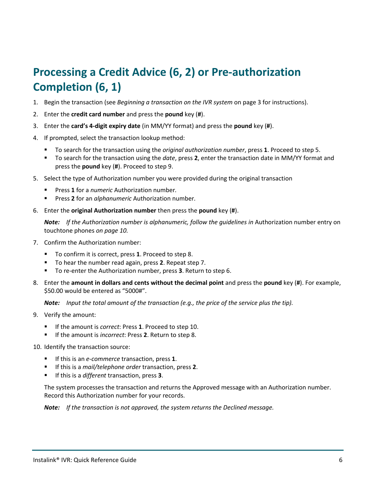# <span id="page-7-0"></span>**Processing a Credit Advice (6, 2) or Pre-authorization Completion (6, 1)**

- 1. Begin the transaction (see *Beginning a transaction on the IVR system* on pag[e 3](#page-4-1) for instructions).
- 2. Enter the **credit card number** and press the **pound** key (**#**).
- 3. Enter the **card's 4-digit expiry date** (in MM/YY format) and press the **pound** key (**#**).
- 4. If prompted, select the transaction lookup method:
	- To search for the transaction using the *original authorization number*, press **1**. Proceed to step 5.
	- To search for the transaction using the *date*, press **2**, enter the transaction date in MM/YY format and press the **pound** key (**#**). Proceed to step 9.
- 5. Select the type of Authorization number you were provided during the original transaction
	- Press **1** for a *numeric* Authorization number*.*
	- Press **2** for an *alphanumeric* Authorization number*.*
- 6. Enter the **original Authorization number** then press the **pound** key (**#**).

*Note:* If the Authorization number is alphanumeric, follow the guidelines in Authorization number entry on touchtone phones *on pag[e 10.](#page-11-0)*

- 7. Confirm the Authorization number:
	- To confirm it is correct, press **1**. Proceed to step 8.
	- To hear the number read again, press **2**. Repeat step 7.
	- To re-enter the Authorization number, press **3**. Return to step 6.
- 8. Enter the **amount in dollars and cents without the decimal point** and press the **pound** key (**#**). For example, \$50.00 would be entered as "5000#".

*Note: Input the total amount of the transaction (e.g., the price of the service plus the tip).*

- 9. Verify the amount:
	- If the amount is *correct*: Press **1**. Proceed to step 10.
	- If the amount is *incorrect*: Press **2**. Return to step 8.
- 10. Identify the transaction source:
	- If this is an *e-commerce* transaction, press **1**.
	- If this is a *mail/telephone order* transaction, press **2**.
	- If this is a *different* transaction, press **3**.

The system processes the transaction and returns the Approved message with an Authorization number. Record this Authorization number for your records.

*Note: If the transaction is not approved, the system returns the Declined message.*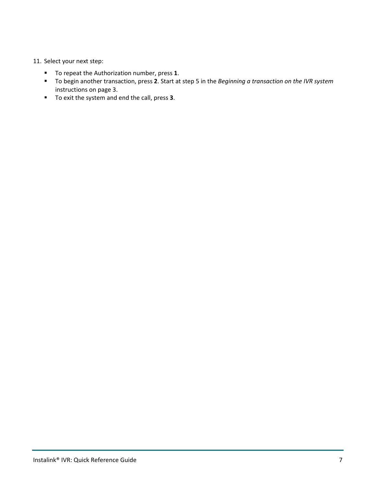#### 11. Select your next step:

- To repeat the Authorization number, press **1**.
- To begin another transaction, press **2**. Start at step 5 in the *Beginning a transaction on the IVR system* instructions on page [3.](#page-4-1)
- To exit the system and end the call, press **3**.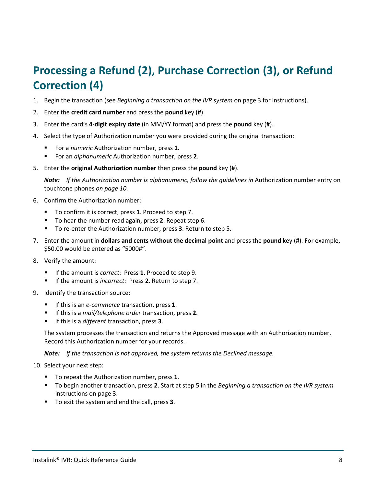# <span id="page-9-0"></span>**Processing a Refund (2), Purchase Correction (3), or Refund Correction (4)**

- 1. Begin the transaction (see *Beginning a transaction on the IVR system* on pag[e 3](#page-4-1) for instructions).
- 2. Enter the **credit card number** and press the **pound** key (**#**).
- 3. Enter the card's **4-digit expiry date** (in MM/YY format) and press the **pound** key (**#**).
- 4. Select the type of Authorization number you were provided during the original transaction:
	- For a *numeric* Authorization number, press **1**.
	- For an *alphanumeric* Authorization number, press **2**.
- 5. Enter the **original Authorization number** then press the **pound** key (**#**).

**Note:** If the Authorization number is alphanumeric, follow the quidelines in Authorization number entry on touchtone phones *on pag[e 10.](#page-11-0)*

- 6. Confirm the Authorization number:
	- To confirm it is correct, press **1**. Proceed to step 7.
	- To hear the number read again, press **2**. Repeat step 6.
	- To re-enter the Authorization number, press **3**. Return to step 5.
- 7. Enter the amount in **dollars and cents without the decimal point** and press the **pound** key (**#**). For example, \$50.00 would be entered as "5000#".
- 8. Verify the amount:
	- If the amount is *correct*: Press **1**. Proceed to step 9.
	- If the amount is *incorrect*: Press **2**. Return to step 7.
- 9. Identify the transaction source:
	- If this is an *e-commerce* transaction, press **1**.
	- If this is a *mail/telephone order* transaction, press **2**.
	- If this is a *different* transaction, press **3**.

The system processes the transaction and returns the Approved message with an Authorization number. Record this Authorization number for your records.

*Note: If the transaction is not approved, the system returns the Declined message.* 

10. Select your next step:

- To repeat the Authorization number, press **1**.
- To begin another transaction, press **2**. Start at step 5 in the *Beginning a transaction on the IVR system* instructions on pag[e 3.](#page-4-1)
- To exit the system and end the call, press **3**.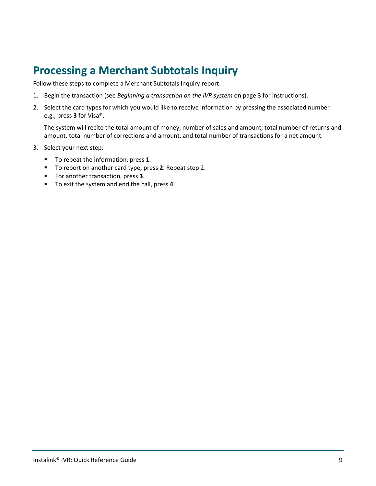## <span id="page-10-0"></span>**Processing a Merchant Subtotals Inquiry**

Follow these steps to complete a Merchant Subtotals Inquiry report:

- 1. Begin the transaction (see *Beginning a transaction on the IVR system* on pag[e 3](#page-4-1) for instructions).
- 2. Select the card types for which you would like to receive information by pressing the associated number e.g., press **3** for Visa®.

The system will recite the total amount of money, number of sales and amount, total number of returns and amount, total number of corrections and amount, and total number of transactions for a net amount.

- 3. Select your next step:
	- To repeat the information, press **1**.
	- To report on another card type, press **2**. Repeat step 2.
	- For another transaction, press **3**.
	- To exit the system and end the call, press **4**.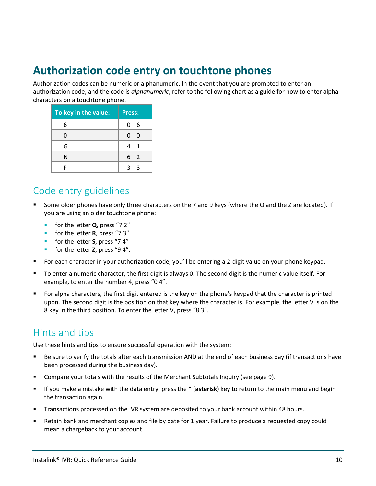### <span id="page-11-0"></span>**Authorization code entry on touchtone phones**

Authorization codes can be numeric or alphanumeric. In the event that you are prompted to enter an authorization code, and the code is *alphanumeric*, refer to the following chart as a guide for how to enter alpha characters on a touchtone phone.

| To key in the value: | Press:              |
|----------------------|---------------------|
| 6                    | 0<br>- 6            |
|                      | 0<br>- 0            |
| G                    | $\overline{1}$<br>Δ |
| N                    | 6 2                 |
|                      |                     |

#### <span id="page-11-1"></span>Code entry guidelines

- Some older phones have only three characters on the 7 and 9 keys (where the Q and the Z are located). If you are using an older touchtone phone:
	- for the letter **Q**, press "7 2"
	- **for the letter <b>R**, press "7 3"
	- **for the letter S**, press "74"
	- **for the letter Z**, press "94".
- For each character in your authorization code, you'll be entering a 2-digit value on your phone keypad.
- To enter a numeric character, the first digit is always 0. The second digit is the numeric value itself. For example, to enter the number 4, press "0 4".
- For alpha characters, the first digit entered is the key on the phone's keypad that the character is printed upon. The second digit is the position on that key where the character is. For example, the letter V is on the 8 key in the third position. To enter the letter V, press "8 3".

#### <span id="page-11-2"></span>Hints and tips

Use these hints and tips to ensure successful operation with the system:

- Be sure to verify the totals after each transmission AND at the end of each business day (if transactions have been processed during the business day).
- Compare your totals with the results of the Merchant Subtotals Inquiry (see page [9\)](#page-10-0).
- If you make a mistake with the data entry, press the **\*** (**asterisk**) key to return to the main menu and begin the transaction again.
- **Transactions processed on the IVR system are deposited to your bank account within 48 hours.**
- Retain bank and merchant copies and file by date for 1 year. Failure to produce a requested copy could mean a chargeback to your account.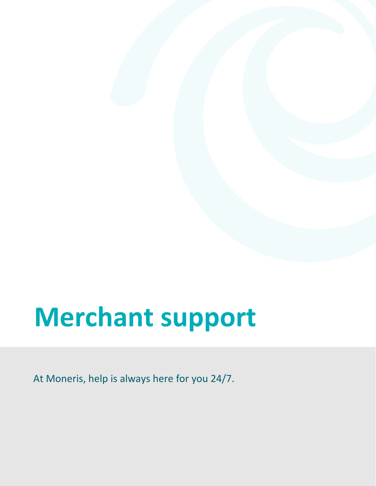# <span id="page-12-0"></span>**Merchant support**

At Moneris, help is always here for you 24/7.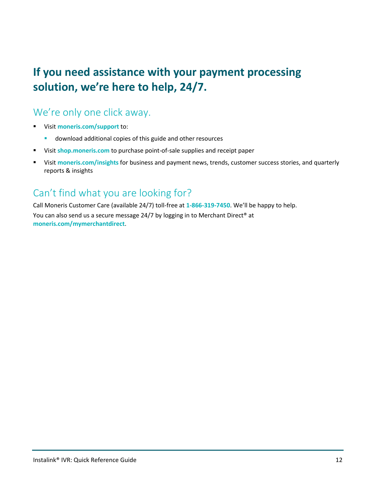# **If you need assistance with your payment processing solution, we're here to help, 24/7.**

#### We're only one click away.

- Visit **[moneris.com/support](https://moneris.com/support)** to:
	- **download additional copies of this guide and other resources**
- Visit **[shop.moneris.com](https://shop.moneris.com/)** to purchase point-of-sale supplies and receipt paper
- Visit **[moneris.com/insights](https://moneris.com/insights)** for business and payment news, trends, customer success stories, and quarterly reports & insights

### Can't find what you are looking for?

Call Moneris Customer Care (available 24/7) toll-free at **1-866-319-7450**. We'll be happy to help. You can also send us a secure message 24/7 by logging in to Merchant Direct® at **[moneris.com/mymerchantdirect](https://moneris.com/mymerchantdirect)**.